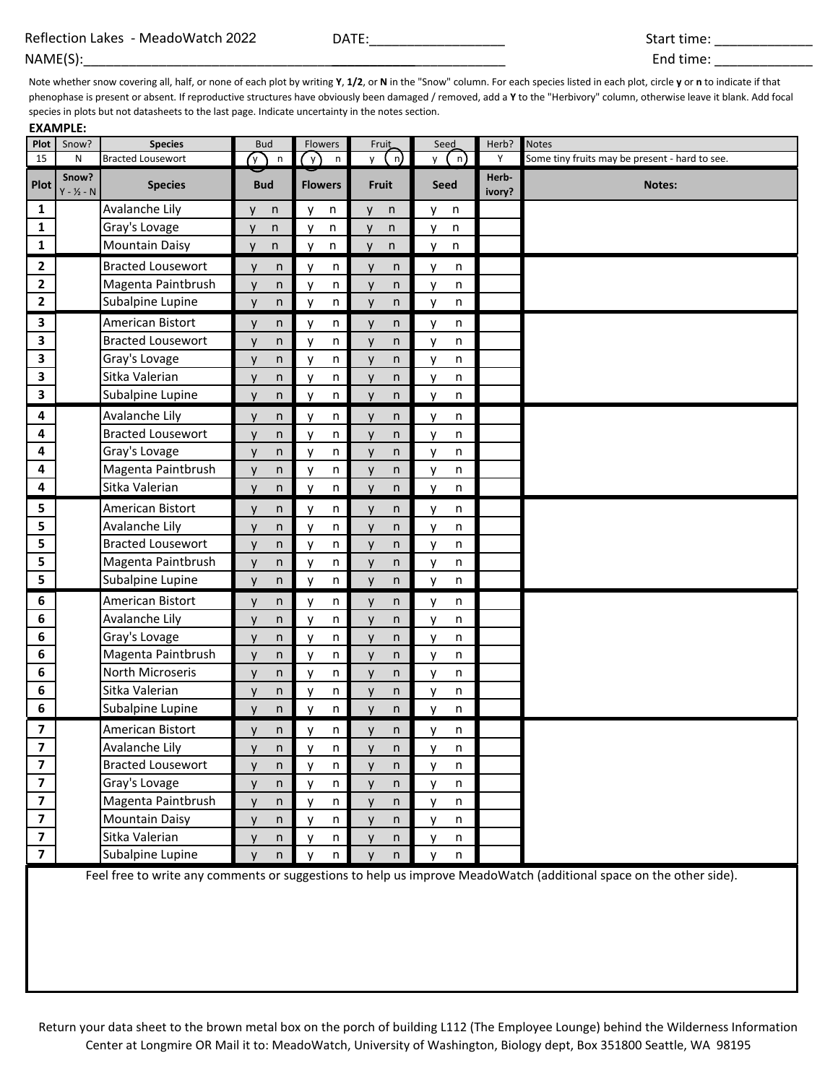DATE:

Start time: \_\_\_\_\_\_\_\_\_\_\_\_\_

End time:

Note whether snow covering all, half, or none of each plot by writing **Y**, **1/2**, or **N** in the "Snow" column. For each species listed in each plot, circle **y** or **n** to indicate if that phenophase is present or absent. If reproductive structures have obviously been damaged / removed, add a **Y** to the "Herbivory" column, otherwise leave it blank. Add focal species in plots but not datasheets to the last page. Indicate uncertainty in the notes section.

\_\_\_\_\_\_\_\_\_\_\_\_\_\_\_\_\_\_\_\_\_\_\_

## **EXAMPLE:**

| Plot                    | Snow?                  | <b>Species</b>                         | <b>Bud</b>             | Flowers           | Fruit                          | Seed                                | Herb?           | <b>Notes</b>                                                                                                       |
|-------------------------|------------------------|----------------------------------------|------------------------|-------------------|--------------------------------|-------------------------------------|-----------------|--------------------------------------------------------------------------------------------------------------------|
| 15                      | N                      | <b>Bracted Lousewort</b>               | $\sigma$<br>n          | (y)<br>n          | $\overline{n}$<br>$\mathsf{V}$ | $\lfloor n \rfloor$<br>$\mathsf{V}$ | Y               | Some tiny fruits may be present - hard to see.                                                                     |
| <b>Plot</b>             | Snow?<br>$Y - Y_2 - N$ | <b>Species</b>                         | <b>Bud</b>             | <b>Flowers</b>    | Fruit                          | <b>Seed</b>                         | Herb-<br>ivory? | Notes:                                                                                                             |
| 1                       |                        | Avalanche Lily                         | n<br>v                 | y<br>n            | y<br>n                         | $\mathsf{v}$<br>n                   |                 |                                                                                                                    |
| $\mathbf{1}$            |                        | Gray's Lovage                          | n<br>$\mathsf{V}$      | y<br>n            | y<br>n                         | y<br>n                              |                 |                                                                                                                    |
| $\mathbf 1$             |                        | <b>Mountain Daisy</b>                  | n<br>y                 | n<br>y            | y<br>n                         | y<br>n                              |                 |                                                                                                                    |
| $\mathbf{2}$            |                        | <b>Bracted Lousewort</b>               | y<br>n                 | n<br>у            | n<br>y                         | y<br>n                              |                 |                                                                                                                    |
| $\mathbf{2}$            |                        | Magenta Paintbrush                     | $\mathsf{v}$<br>n      | y<br>n            | y<br>n                         | y<br>n                              |                 |                                                                                                                    |
| $\mathbf{2}$            |                        | Subalpine Lupine                       | y<br>n                 | $\mathsf{v}$<br>n | $\mathsf{v}$<br>n              | y<br>n                              |                 |                                                                                                                    |
| 3                       |                        | American Bistort                       | y<br>n                 | n<br>y            | n<br>y                         | n<br>y                              |                 |                                                                                                                    |
| $\overline{\mathbf{3}}$ |                        | <b>Bracted Lousewort</b>               | $\mathsf{v}$<br>n      | n<br>y            | $\mathsf{V}$<br>n              | $\mathsf{V}$<br>n                   |                 |                                                                                                                    |
| 3                       |                        | Gray's Lovage                          | $\mathsf{V}$<br>n      | n<br>$\mathsf{v}$ | $\mathsf{V}$<br>n              | $\mathsf{V}$<br>n                   |                 |                                                                                                                    |
| 3                       |                        | Sitka Valerian                         | y<br>n                 | n<br>y            | y<br>n                         | y<br>n                              |                 |                                                                                                                    |
| 3                       |                        | Subalpine Lupine                       | y<br>n                 | y<br>$\sf n$      | y<br>n                         | y<br>n                              |                 |                                                                                                                    |
| 4                       |                        | Avalanche Lily                         | y<br>n                 | y<br>n            | y<br>n                         | y<br>n                              |                 |                                                                                                                    |
| 4                       |                        | <b>Bracted Lousewort</b>               | y<br>n                 | $\mathsf{V}$<br>n | $\mathsf{V}$<br>n              | y<br>n                              |                 |                                                                                                                    |
| 4                       |                        | Gray's Lovage                          | y<br>n                 | y<br>n            | y<br>n                         | y<br>n                              |                 |                                                                                                                    |
| 4                       |                        | Magenta Paintbrush                     | y<br>n                 | y<br>n            | y<br>n                         | y<br>n                              |                 |                                                                                                                    |
| 4                       |                        | Sitka Valerian                         | y<br>n                 | $\mathsf n$<br>y  | $\mathsf{V}$<br>n              | y<br>n                              |                 |                                                                                                                    |
| 5                       |                        | American Bistort                       | n                      | n<br>٧            | $\mathsf{V}$<br>n              | n                                   |                 |                                                                                                                    |
| 5                       |                        | Avalanche Lily                         | y<br>y<br>n            | y<br>n            | n                              | y<br>n                              |                 |                                                                                                                    |
| 5                       |                        | <b>Bracted Lousewort</b>               | n                      |                   | y<br>$\mathsf{V}$              | y                                   |                 |                                                                                                                    |
| 5                       |                        | Magenta Paintbrush                     | y<br>y<br>n            | n<br>y<br>n       | n<br>y<br>n                    | y<br>n<br>n                         |                 |                                                                                                                    |
| 5                       |                        | Subalpine Lupine                       | y<br>n                 | y<br>y<br>n       | $\mathsf{v}$<br>n              | y<br>y<br>n                         |                 |                                                                                                                    |
|                         |                        |                                        |                        |                   |                                |                                     |                 |                                                                                                                    |
| 6<br>6                  |                        | American Bistort<br>Avalanche Lily     | y<br>n                 | y<br>n            | y<br>n                         | y<br>n                              |                 |                                                                                                                    |
|                         |                        |                                        | y<br>n                 | $\mathsf n$<br>y  | y<br>n                         | y<br>n                              |                 |                                                                                                                    |
| 6<br>6                  |                        | Gray's Lovage                          | y<br>n                 | y<br>n            | $\mathsf{V}$<br>n              | y<br>n                              |                 |                                                                                                                    |
|                         |                        | Magenta Paintbrush<br>North Microseris | y<br>n                 | n<br>y            | $\mathsf{V}$<br>n              | y<br>n                              |                 |                                                                                                                    |
| 6<br>6                  |                        | Sitka Valerian                         | y<br>n                 | y<br>n            | y<br>n                         | y<br>n                              |                 |                                                                                                                    |
| 6                       |                        | Subalpine Lupine                       | y<br>n<br>$\mathsf{V}$ | y<br>n<br>n       | y<br>n<br>$\mathsf{V}$<br>n    | y<br>n                              |                 |                                                                                                                    |
|                         |                        |                                        | n                      | y                 |                                | y<br>$\sf n$                        |                 |                                                                                                                    |
| $\overline{\mathbf{z}}$ |                        | American Bistort                       | V<br>n                 | n<br>v            | n<br>$\mathsf{V}$              | n<br>v                              |                 |                                                                                                                    |
| $\overline{\mathbf{z}}$ |                        | Avalanche Lily                         | $\mathsf{V}$<br>n      | $\mathsf{v}$<br>n | $\mathsf{V}$<br>n              | y<br>n                              |                 |                                                                                                                    |
| $\overline{\mathbf{z}}$ |                        | <b>Bracted Lousewort</b>               | y<br>n                 | y<br>n            | y<br>n                         | y<br>n                              |                 |                                                                                                                    |
|                         |                        | Gray's Lovage                          | y<br>$\sf n$           | $\mathsf n$<br>y  | y<br>$\sf n$                   | y<br>n                              |                 |                                                                                                                    |
|                         |                        | Magenta Paintbrush                     | y<br>n                 | y<br>n            | y<br>n                         | y<br>n                              |                 |                                                                                                                    |
|                         |                        | <b>Mountain Daisy</b>                  | y<br>n                 | y<br>n            | y<br>n                         | y<br>n                              |                 |                                                                                                                    |
| $\overline{\mathbf{z}}$ |                        | Sitka Valerian                         | у<br>n                 | n<br>y            | y<br>n                         | y<br>n                              |                 |                                                                                                                    |
|                         |                        | Subalpine Lupine                       | y<br>$\mathsf n$       | y<br>$\sf n$      | y<br>n                         | y<br>n                              |                 |                                                                                                                    |
|                         |                        |                                        |                        |                   |                                |                                     |                 | Feel free to write any comments or suggestions to help us improve MeadoWatch (additional space on the other side). |

Return your data sheet to the brown metal box on the porch of building L112 (The Employee Lounge) behind the Wilderness Information Center at Longmire OR Mail it to: MeadoWatch, University of Washington, Biology dept, Box 351800 Seattle, WA 98195